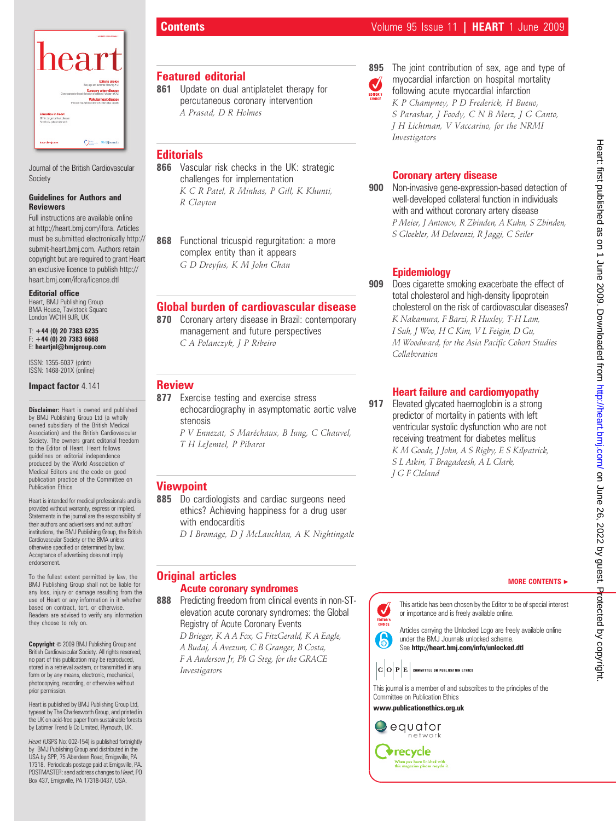

Journal of the British Cardiovascular Society

### Guidelines for Authors and Reviewers

Full instructions are available online at http://heart.bmj.com/ifora. Articles must be submitted electronically http:// submit-heart.bmj.com. Authors retain copyright but are required to grant Heart an exclusive licence to publish http:// heart.bmj.com/ifora/licence.dtl

### Editorial office

Heart, BMJ Publishing Group BMA House, Tavistock Square London WC1H 9JR, UK

### $T: +44$  (0) 20 7383 6235 +44 (0) 20 7383 6668 E: heartjnl@bmjgroup.com

ISSN: 1355-6037 (print) ISSN: 1468-201X (online)

### Impact factor 4.141

**Disclaimer:** Heart is owned and published by BMJ Publishing Group Ltd (a wholly owned subsidiary of the British Medical Association) and the British Cardiovascular Society. The owners grant editorial freedom to the Editor of Heart. Heart follows guidelines on editorial independence produced by the World Association of Medical Editors and the code on good publication practice of the Committee on Publication Ethics.

Heart is intended for medical professionals and is provided without warranty, express or implied. Statements in the journal are the responsibility of their authors and advertisers and not authors' institutions, the BMJ Publishing Group, the British Cardiovascular Society or the BMA unless otherwise specified or determined by law. Acceptance of advertising does not imply endorsement.

To the fullest extent permitted by law, the BMJ Publishing Group shall not be liable for any loss, injury or damage resulting from the use of Heart or any information in it whether based on contract, tort, or otherwise. Readers are advised to verify any information they choose to rely on.

Copyright  $\odot$  2009 BMJ Publishing Group and British Cardiovascular Society. All rights reserved; no part of this publication may be reproduced, stored in a retrieval system, or transmitted in any form or by any means, electronic, mechanical, photocopying, recording, or otherwise without prior permission.

Heart is published by BMJ Publishing Group Ltd, typeset by The Charlesworth Group, and printed in the UK on acid-free paper from sustainable forests by Latimer Trend & Co Limited, Plymouth, UK.

Heart (USPS No: 002-154) is published fortnightly by BMJ Publishing Group and distributed in the USA by SPP, 75 Aberdeen Road, Emigsville, PA 17318. Periodicals postage paid at Emigsville, PA. POSTMASTER: send address changes to Heart, PO Box 437, Emigsville, PA 17318-0437, USA.

# Featured editorial

861 Update on dual antiplatelet therapy for percutaneous coronary intervention A Prasad, D R Holmes

# **Editorials**

866 Vascular risk checks in the UK: strategic challenges for implementation K C R Patel, R Minhas, P Gill, K Khunti, R Clayton

868 Functional tricuspid regurgitation: a more complex entity than it appears G D Dreyfus, K M John Chan

# Global burden of cardiovascular disease

870 Coronary artery disease in Brazil: contemporary management and future perspectives C A Polanczyk, J P Ribeiro

### **Review**

- 877 Exercise testing and exercise stress echocardiography in asymptomatic aortic valve stenosis
	- P V Ennezat, S Maréchaux, B Iung, C Chauvel, T H LeJemtel, P Pibarot

# **Viewpoint**

885 Do cardiologists and cardiac surgeons need ethics? Achieving happiness for a drug user with endocarditis

D I Bromage, D J McLauchlan, A K Nightingale

# Original articles Acute coronary syndromes

888 Predicting freedom from clinical events in non-STelevation acute coronary syndromes: the Global Registry of Acute Coronary Events D Brieger, K A A Fox, G FitzGerald, K A Eagle,

A Budaj, A´ Avezum, C B Granger, B Costa, F A Anderson Jr, Ph G Steg, for the GRACE Investigators



895 The joint contribution of sex, age and type of myocardial infarction on hospital mortality following acute myocardial infarction K P Champney, P D Frederick, H Bueno, S Parashar, J Foody, C N B Merz, J G Canto, J H Lichtman, V Vaccarino, for the NRMI Investigators

# Coronary artery disease

900 Non-invasive gene-expression-based detection of well-developed collateral function in individuals with and without coronary artery disease P Meier, J Antonov, R Zbinden, A Kuhn, S Zbinden, S Gloekler, M Delorenzi, R Jaggi, C Seiler

# Epidemiology

909 Does cigarette smoking exacerbate the effect of total cholesterol and high-density lipoprotein cholesterol on the risk of cardiovascular diseases? K Nakamura, F Barzi, R Huxley, T-H Lam, I Suh, J Woo, H C Kim, V L Feigin, D Gu, M Woodward, for the Asia Pacific Cohort Studies Collaboration

# Heart failure and cardiomyopathy

917 Elevated glycated haemoglobin is a strong predictor of mortality in patients with left ventricular systolic dysfunction who are not receiving treatment for diabetes mellitus K M Goode, J John, A S Rigby, E S Kilpatrick, S L Atkin, T Bragadeesh, A L Clark, J G F Cleland

# Heart: first published as on 1 June 2009. Downloaded from http://heart.bmj.com/ on June 26, 2022 by guest. Protected by copyright Heart: first published as on 1 June 2009. Downloaded from <http://heart.bmj.com/> on June 26, 2022 by guest. Protected by copyright.



This article has been chosen by the Editor to be of special interest or importance and is freely available online.

EDITOR'S Articles carrying the Unlocked Logo are freely available online under the BMJ Journals unlocked scheme. See http://heart.bmj.com/info/unlocked.dtl

 $|\mathbf{C}|\mathbf{O}|\mathbf{P}|\mathbf{E}|$  committee on publication ethics

This journal is a member of and subscribes to the principles of the Committee on Publication Ethics

www.publicationethics.org.uk

V

 $\epsilon$ 

# equator network **V**recycle